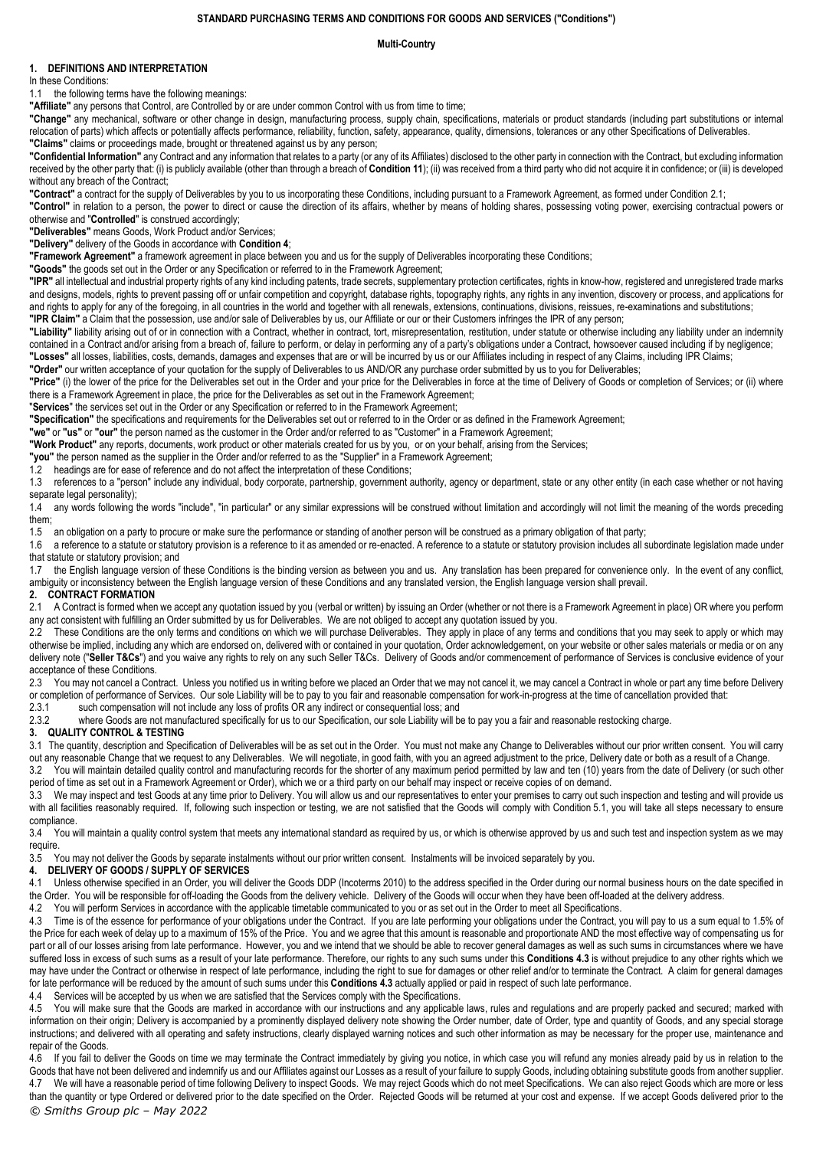#### **STANDARD PURCHASING TERMS AND CONDITIONS FOR GOODS AND SERVICES ("Conditions")**

# **Multi-Country**

# **1. DEFINITIONS AND INTERPRETATION**

In these Conditions:

1.1 the following terms have the following meanings:

**"Affiliate"** any persons that Control, are Controlled by or are under common Control with us from time to time;

**"Change"** any mechanical, software or other change in design, manufacturing process, supply chain, specifications, materials or product standards (including part substitutions or internal relocation of parts) which affects or potentially affects performance, reliability, function, safety, appearance, quality, dimensions, tolerances or any other Specifications of Deliverables. **"Claims"** claims or proceedings made, brought or threatened against us by any person;

**"Confidential Information"** any Contract and any information that relates to a party (or any of its Affiliates) disclosed to the other party in connection with the Contract, but excluding information received by the other party that: (i) is publicly available (other than through a breach of **Conditio[n 11](#page-2-0)**); (ii) was received from a third party who did not acquire it in confidence; or (iii) is developed without any breach of the Contract;

**"Contract"** a contract for the supply of Deliverables by you to us incorporating these Conditions, including pursuant to a Framework Agreement, as formed under Conditio[n 2.1;](#page-0-0)

**"Control"** in relation to a person, the power to direct or cause the direction of its affairs, whether by means of holding shares, possessing voting power, exercising contractual powers or otherwise and "**Controlled**" is construed accordingly;

**"Deliverables"** means Goods, Work Product and/or Services;

**"Delivery"** delivery of the Goods in accordance with **Condition [4](#page-0-1)**;

**"Framework Agreement"** a framework agreement in place between you and us for the supply of Deliverables incorporating these Conditions;

**"Goods"** the goods set out in the Order or any Specification or referred to in the Framework Agreement;

"IPR" all intellectual and industrial property rights of any kind including patents, trade secrets, supplementary protection certificates, rights in know-how, registered and unregistered trade marks and designs, models, rights to prevent passing off or unfair competition and copyright, database rights, topography rights, any rights in any invention, discovery or process, and applications for and rights to apply for any of the foregoing, in all countries in the world and together with all renewals, extensions, continuations, divisions, reissues, re-examinations and substitutions; **"IPR Claim"** a Claim that the possession, use and/or sale of Deliverables by us, our Affiliate or our or their Customers infringes the IPR of any person;

**"Liability"** liability arising out of or in connection with a Contract, whether in contract, tort, misrepresentation, restitution, under statute or otherwise including any liability under an indemnity contained in a Contract and/or arising from a breach of, failure to perform, or delay in performing any of a party's obligations under a Contract, howsoever caused including if by negligence; **"Losses"** all losses, liabilities, costs, demands, damages and expenses that are or will be incurred by us or our Affiliates including in respect of any Claims, including IPR Claims;

**"Order"** our written acceptance of your quotation for the supply of Deliverables to us AND/OR any purchase order submitted by us to you for Deliverables;

**"Price"** (i) the lower of the price for the Deliverables set out in the Order and your price for the Deliverables in force at the time of Delivery of Goods or completion of Services; or (ii) where there is a Framework Agreement in place, the price for the Deliverables as set out in the Framework Agreement;

"**Services**" the services set out in the Order or any Specification or referred to in the Framework Agreement;

**"Specification"** the specifications and requirements for the Deliverables set out or referred to in the Order or as defined in the Framework Agreement;

**"we"** or **"us"** or **"our"** the person named as the customer in the Order and/or referred to as "Customer" in a Framework Agreement;

**"Work Product"** any reports, documents, work product or other materials created for us by you, or on your behalf, arising from the Services;

**"you"** the person named as the supplier in the Order and/or referred to as the "Supplier" in a Framework Agreement;

1.2 headings are for ease of reference and do not affect the interpretation of these Conditions;

1.3 references to a "person" include any individual, body corporate, partnership, government authority, agency or department, state or any other entity (in each case whether or not having separate legal personality);

1.4 any words following the words "include", "in particular" or any similar expressions will be construed without limitation and accordingly will not limit the meaning of the words preceding them;

1.5 an obligation on a party to procure or make sure the performance or standing of another person will be construed as a primary obligation of that party;

1.6 a reference to a statute or statutory provision is a reference to it as amended or re-enacted. A reference to a statute or statutory provision includes all subordinate legislation made under that statute or statutory provision; and

1.7 the English language version of these Conditions is the binding version as between you and us. Any translation has been prepared for convenience only. In the event of any conflict, ambiguity or inconsistency between the English language version of these Conditions and any translated version, the English language version shall prevail.

## **2. CONTRACT FORMATION**

<span id="page-0-0"></span>2.1 A Contract is formed when we accept any quotation issued by you (verbal or written) by issuing an Order (whether or not there is a Framework Agreement in place) OR where you perform any act consistent with fulfilling an Order submitted by us for Deliverables. We are not obliged to accept any quotation issued by you.

2.2 These Conditions are the only terms and conditions on which we will purchase Deliverables. They apply in place of any terms and conditions that you may seek to apply or which may otherwise be implied, including any which are endorsed on, delivered with or contained in your quotation, Order acknowledgement, on your website or other sales materials or media or on any delivery note ("Seller T&Cs") and you waive any rights to rely on any such Seller T&Cs. Delivery of Goods and/or commencement of performance of Services is conclusive evidence of your acceptance of these Conditions.

2.3 You may not cancel a Contract. Unless you notified us in writing before we placed an Order that we may not cancel it, we may cancel a Contract in whole or part any time before Delivery or completion of performance of Services. Our sole Liability will be to pay to you fair and reasonable compensation for work-in-progress at the time of cancellation provided that:<br>2.3.1 such compensation will not include a

such compensation will not include any loss of profits OR any indirect or consequential loss; and

2.3.2 where Goods are not manufactured specifically for us to our Specification, our sole Liability will be to pay you a fair and reasonable restocking charge.

## **3. QUALITY CONTROL & TESTING**

3.1 The quantity, description and Specification of Deliverables will be as set out in the Order. You must not make any Change to Deliverables without our prior written consent. You will carry out any reasonable Change that we request to any Deliverables. We will negotiate, in good faith, with you an agreed adjustment to the price, Delivery date or both as a result of a Change.

3.2 You will maintain detailed quality control and manufacturing records for the shorter of any maximum period permitted by law and ten (10) years from the date of Delivery (or such other period of time as set out in a Framework Agreement or Order), which we or a third party on our behalf may inspect or receive copies of on demand.

3.3 We may inspect and test Goods at any time prior to Delivery. You will allow us and our representatives to enter your premises to carry out such inspection and testing and will provide us with all facilities reasonably required. If, following such inspection or testing, we are not satisfied that the Goods will comply with Condition [5.1,](#page-1-0) you will take all steps necessary to ensure compliance.

3.4 You will maintain a quality control system that meets any international standard as required by us, or which is otherwise approved by us and such test and inspection system as we may require.

3.5 You may not deliver the Goods by separate instalments without our prior written consent. Instalments will be invoiced separately by you.

### <span id="page-0-1"></span>**4. DELIVERY OF GOODS / SUPPLY OF SERVICES**

4.1 Unless otherwise specified in an Order, you will deliver the Goods DDP (Incoterms 2010) to the address specified in the Order during our normal business hours on the date specified in the Order. You will be responsible for off-loading the Goods from the delivery vehicle. Delivery of the Goods will occur when they have been off-loaded at the delivery address.

4.2 You will perform Services in accordance with the applicable timetable communicated to you or as set out in the Order to meet all Specifications.

<span id="page-0-2"></span>4.3 Time is of the essence for performance of your obligations under the Contract. If you are late performing your obligations under the Contract, you will pay to us a sum equal to 1.5% of the Price for each week of delay up to a maximum of 15% of the Price. You and we agree that this amount is reasonable and proportionate AND the most effective way of compensating us for part or all of our losses arising from late performance. However, you and we intend that we should be able to recover general damages as well as such sums in circumstances where we have suffered loss in excess of such sums as a result of your late performance. Therefore, our rights to any such sums under this **Condition[s 4.3](#page-0-2)** is without prejudice to any other rights which we may have under the Contract or otherwise in respect of late performance, including the right to sue for damages or other relief and/or to terminate the Contract. A claim for general damages for late performance will be reduced by the amount of such sums under this **Condition[s 4.3](#page-0-2)** actually applied or paid in respect of such late performance.

4.4 Services will be accepted by us when we are satisfied that the Services comply with the Specifications.

4.5 You will make sure that the Goods are marked in accordance with our instructions and any applicable laws, rules and requlations and are properly packed and secured; marked with information on their origin; Delivery is accompanied by a prominently displayed delivery note showing the Order number, date of Order, type and quantity of Goods, and any special storage instructions; and delivered with all operating and safety instructions, clearly displayed warning notices and such other information as may be necessary for the proper use, maintenance and repair of the Goods.

*© Smiths Group plc – May 2022* 4.6 If you fail to deliver the Goods on time we may terminate the Contract immediately by giving you notice, in which case you will refund any monies already paid by us in relation to the Goods that have not been delivered and indemnify us and our Affiliates against our Losses as a result of your failure to supply Goods, including obtaining substitute goods from another supplier. 4.7 We will have a reasonable period of time following Delivery to inspect Goods. We may reject Goods which do not meet Specifications. We can also reject Goods which are more or less than the quantity or type Ordered or delivered prior to the date specified on the Order. Rejected Goods will be returned at your cost and expense. If we accept Goods delivered prior to the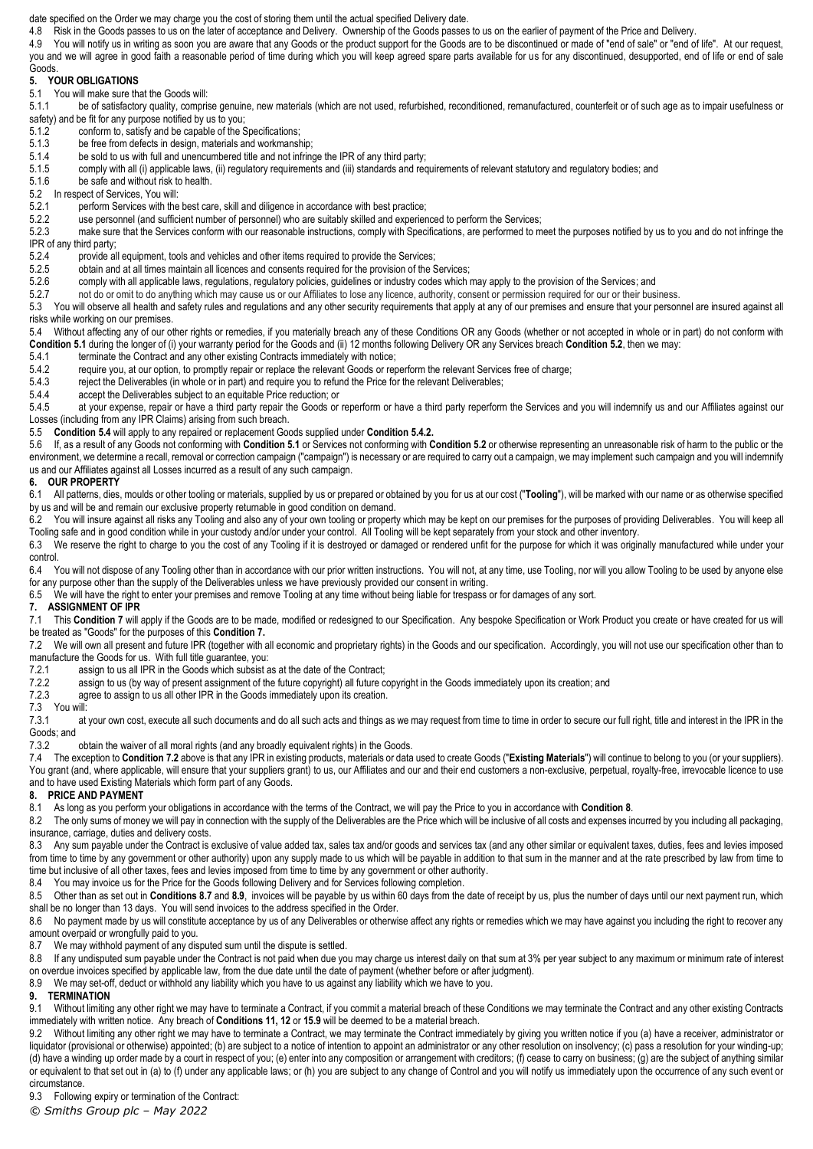date specified on the Order we may charge you the cost of storing them until the actual specified Delivery date.

4.8 Risk in the Goods passes to us on the later of acceptance and Delivery. Ownership of the Goods passes to us on the earlier of payment of the Price and Delivery.

4.9 You will notify us in writing as soon you are aware that any Goods or the product support for the Goods are to be discontinued or made of "end of sale" or "end of life". At our request, you and we will agree in good faith a reasonable period of time during which you will keep agreed spare parts available for us for any discontinued, desupported, end of life or end of sale Goods.

## **5. YOUR OBLIGATIONS**

<span id="page-1-0"></span>5.1 You will make sure that the Goods will:

5.1.1 be of satisfactory quality, comprise genuine, new materials (which are not used, refurbished, reconditioned, remanufactured, counterfeit or of such age as to impair usefulness or safety) and be fit for any purpose notified by us to you;

- 5.1.2 conform to, satisfy and be capable of the Specifications;
- 
- 5.1.3 be free from defects in design, materials and workmanship;<br>5.1.4 be sold to us with full and unencumbered title and not infring be sold to us with full and unencumbered title and not infringe the IPR of any third party;
- 5.1.5 comply with all (i) applicable laws, (ii) regulatory requirements and (iii) standards and requirements of relevant statutory and regulatory bodies; and
- 5.1.6 be safe and without risk to health.
- <span id="page-1-1"></span>5.2 In respect of Services, You will:<br>5.2.1 perform Services with the

5.2.1 perform Services with the best care, skill and diligence in accordance with best practice;<br>5.2.2 use personnel (and sufficient number of personnel) who are suitably skilled and experier

- use personnel (and sufficient number of personnel) who are suitably skilled and experienced to perform the Services;
- 5.2.3 make sure that the Services conform with our reasonable instructions, comply with Specifications, are performed to meet the purposes notified by us to you and do not infringe the IPR of any third party;
- 
- 5.2.4 provide all equipment, tools and vehicles and other items required to provide the Services;
- 5.2.5 obtain and at all times maintain all licences and consents required for the provision of the Services;
- 5.2.6 comply with all applicable laws, regulations, regulatory policies, guidelines or industry codes which may apply to the provision of the Services; and<br>5.2.7 on the or omit to do anything which may cause us or our Affi
- not do or omit to do anything which may cause us or our Affiliates to lose any licence, authority, consent or permission required for our or their business.

5.3 You will observe all health and safety rules and regulations and any other security requirements that apply at any of our premises and ensure that your personnel are insured against all risks while working on our premises.

<span id="page-1-2"></span>5.4 Without affecting any of our other rights or remedies, if you materially breach any of these Conditions OR any Goods (whether or not accepted in whole or in part) do not conform with **Conditio[n 5.1](#page-1-0)** during the longer of (i) your warranty period for the Goods and (ii) 12 months following Delivery OR any Services breach **Conditio[n 5.2](#page-1-1)**, then we may:

- terminate the Contract and any other existing Contracts immediately with notice:
- <span id="page-1-3"></span>5.4.2 require you, at our option, to promptly repair or replace the relevant Goods or reperform the relevant Services free of charge;

5.4.3 reject the Deliverables (in whole or in part) and require you to refund the Price for the relevant Deliverables;<br>5.4.4 accept the Deliverables subject to an equitable Price reduction: or

accept the Deliverables subject to an equitable Price reduction; or

5.4.5 at your expense, repair or have a third party repair the Goods or reperform or have a third party reperform the Services and you will indemnify us and our Affiliates against our Losses (including from any IPR Claims) arising from such breach.

5.5 **Conditio[n 5.4](#page-1-2)** will apply to any repaired or replacement Goods supplied under **Conditio[n 5.4.2.](#page-1-3)**

5.6 If, as a result of any Goods not conforming with **Conditio[n 5.1](#page-1-0)** or Services not conforming with **Conditio[n 5.2](#page-1-1)** or otherwise representing an unreasonable risk of harm to the public or the environment, we determine a recall, removal or correction campaign ("campaign") is necessary or are required to carry out a campaign, we may implement such campaign and you will indemnify us and our Affiliates against all Losses incurred as a result of any such campaign.

#### **6. OUR PROPERTY**

6.1 All patterns, dies, moulds or other tooling or materials, supplied by us or prepared or obtained by you for us at our cost ("**Tooling**"), will be marked with our name or as otherwise specified by us and will be and remain our exclusive property returnable in good condition on demand.

6.2 You will insure against all risks any Tooling and also any of your own tooling or property which may be kept on our premises for the purposes of providing Deliverables. You will keep all Tooling safe and in good condition while in your custody and/or under your control. All Tooling will be kept separately from your stock and other inventory.

6.3 We reserve the right to charge to you the cost of any Tooling if it is destroyed or damaged or rendered unfit for the purpose for which it was originally manufactured while under your control.

6.4 You will not dispose of any Tooling other than in accordance with our prior written instructions. You will not, at any time, use Tooling, nor will you allow Tooling to be used by anyone else for any purpose other than the supply of the Deliverables unless we have previously provided our consent in writing.

6.5 We will have the right to enter your premises and remove Tooling at any time without being liable for trespass or for damages of any sort.

#### <span id="page-1-4"></span>**7. ASSIGNMENT OF IPR**

7.1 This Conditio[n 7](#page-1-4) will apply if the Goods are to be made, modified or redesigned to our Specification. Any bespoke Specification or Work Product you create or have created for us will be treated as "Goods" for the purposes of this **Conditio[n 7.](#page-1-4)**

<span id="page-1-5"></span>7.2 We will own all present and future IPR (together with all economic and proprietary rights) in the Goods and our specification. Accordingly, you will not use our specification other than to manufacture the Goods for us. With full title guarantee, you:

- 
- 7.2.1 assign to us all IPR in the Goods which subsist as at the date of the Contract;<br>7.2.2 assign to us (by way of present assignment of the future copyright) all future co 7.2.2 assign to us (by way of present assignment of the future copyright) all future copyright in the Goods immediately upon its creation; and 7.2.3 agree to assign to us all other IPR in the Goods immediately upon its cre
- agree to assign to us all other IPR in the Goods immediately upon its creation.

#### 7.3 You will:

7.3.1 at your own cost, execute all such documents and do all such acts and things as we may request from time to time in order to secure our full right, title and interest in the IPR in the Goods; and

7.3.2 obtain the waiver of all moral rights (and any broadly equivalent rights) in the Goods.

7.4 The exception to **Condition [7.2](#page-1-5)** above is that any IPR in existing products, materials or data used to create Goods ("**Existing Materials**") will continue to belong to you (or your suppliers). You grant (and, where applicable, will ensure that your suppliers grant) to us, our Affiliates and our and their end customers a non-exclusive, perpetual, royalty-free, irrevocable licence to use and to have used Existing Materials which form part of any Goods.

### <span id="page-1-6"></span>**8. PRICE AND PAYMENT**

8.1 As long as you perform your obligations in accordance with the terms of the Contract, we will pay the Price to you in accordance with **Conditio[n 8](#page-1-6)**.

8.2 The only sums of money we will pay in connection with the supply of the Deliverables are the Price which will be inclusive of all costs and expenses incurred by you including all packaging, insurance, carriage, duties and delivery costs.

8.3 Any sum payable under the Contract is exclusive of value added tax, sales tax and/or goods and services tax (and any other similar or equivalent taxes, duties, fees and levies imposed from time to time by any government or other authority) upon any supply made to us which will be payable in addition to that sum in the manner and at the rate prescribed by law from time to time but inclusive of all other taxes, fees and levies imposed from time to time by any government or other authority.

8.4 You may invoice us for the Price for the Goods following Delivery and for Services following completion.

8.5 Other than as set out in Condition[s 8.7](#page-1-7) and [8.9](#page-1-8), invoices will be payable by us within 60 days from the date of receipt by us, plus the number of days until our next payment run, which shall be no longer than 13 days. You will send invoices to the address specified in the Order.

8.6 No payment made by us will constitute acceptance by us of any Deliverables or otherwise affect any rights or remedies which we may have against you including the right to recover any amount overpaid or wrongfully paid to you.

<span id="page-1-7"></span>8.7 We may withhold payment of any disputed sum until the dispute is settled.

8.8 If any undisputed sum payable under the Contract is not paid when due you may charge us interest daily on that sum at 3% per year subject to any maximum or minimum rate of interest on overdue invoices specified by applicable law, from the due date until the date of payment (whether before or after judgment).

<span id="page-1-8"></span>8.9 We may set-off, deduct or withhold any liability which you have to us against any liability which we have to you.

# **9. TERMINATION**

9.1 Without limiting any other right we may have to terminate a Contract, if you commit a material breach of these Conditions we may terminate the Contract and any other existing Contracts immediately with written notice. Any breach of **Conditions 11, 12** or **[15.9](#page-2-1)** will be deemed to be a material breach.

9.2 Without limiting any other right we may have to terminate a Contract, we may terminate the Contract immediately by giving you written notice if you (a) have a receiver, administrator or liquidator (provisional or otherwise) appointed; (b) are subject to a notice of intention to appoint an administrator or any other resolution on insolvency; (c) pass a resolution for your winding-up; (d) have a winding up order made by a court in respect of you; (e) enter into any composition or arrangement with creditors; (f) cease to carry on business; (g) are the subject of anything similar or equivalent to that set out in (a) to (f) under any applicable laws; or (h) you are subject to any change of Control and you will notify us immediately upon the occurrence of any such event or circumstance.

9.3 Following expiry or termination of the Contract:

*© Smiths Group plc – May 2022*